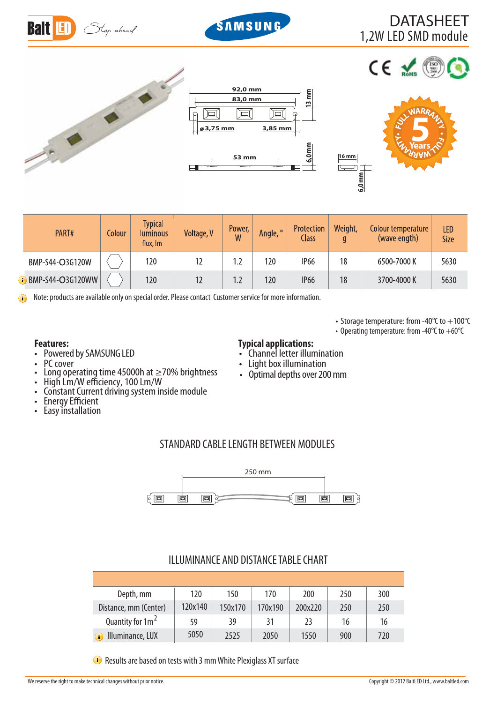



# 1,2W LED SMD module DATASHEET



| 92,0 mm<br>83,0 mm      |       |                |                     |  |
|-------------------------|-------|----------------|---------------------|--|
|                         |       |                | $13 \text{ mm}$     |  |
| ø3,75 mm                |       | 3,85 mm        |                     |  |
| <b>The continuously</b> | 53 mm | . <del>.</del> | $6,0 \overline{mm}$ |  |



 $ce \leq$ 

 **53 mm 16 mm**

 $\overline{C}$ 

• Storage temperature: from -40 $^{\circ}$ C to  $+100^{\circ}$ C • Operating temperature: from -40 $^{\circ}$ C to +60 $^{\circ}$ C

| PART#                     | Colour | <b>Typical</b><br><b>Iuminous</b><br>flux, Im | Voltage, V | Power,<br>W | Angle, ° | Protection<br>Class | Weight,<br>q | Colour temperature<br>(wavelength) | <b>LED</b><br><b>Size</b> |
|---------------------------|--------|-----------------------------------------------|------------|-------------|----------|---------------------|--------------|------------------------------------|---------------------------|
| BMP-S44-O3G120W           |        | 120                                           |            | 1.2         | 120      | <b>IP66</b>         | 18           | 6500-7000 K                        | 5630                      |
| <b>i</b> BMP-S44-O3G120WW |        | 120                                           |            | 1.2         | 120      | <b>IP66</b>         | 18           | 3700-4000 K                        | 5630                      |

Note: products are available only on special order. Please contact Customer service for more information. Œ

- Powered by SAMSUNG LED
- PC cover
- t Long operating time 45000h at ≥70% brightness
- High Lm/W efficiency, 100 Lm/W
- t Constant Current driving system inside module
- **Energy Efficient**
- Energy Efficient<br>• Easy installation

### **Features: Typical applications:**

- Channel letter illumination
- Light box illumination
- Optimal depths over 200 mm

## STANDARD CABLE LENGTH BETWEEN MODULES



### ILLUMINANCE AND DISTANCE TABLE CHART

| Depth, mm                    | 120     | 150     | 170     | 200     | 250 | 300 |
|------------------------------|---------|---------|---------|---------|-----|-----|
| Distance, mm (Center)        | 120x140 | 150x170 | 170x190 | 200x220 | 250 | 250 |
| Quantity for 1m <sup>2</sup> | 59      | 39      | 31      | 23      | 16  | 16  |
| Illuminance, LUX             | 5050    | 2525    | 2050    | 1550    | 900 | 720 |

Results are based on tests with 3 mm White Plexiglass XT surface